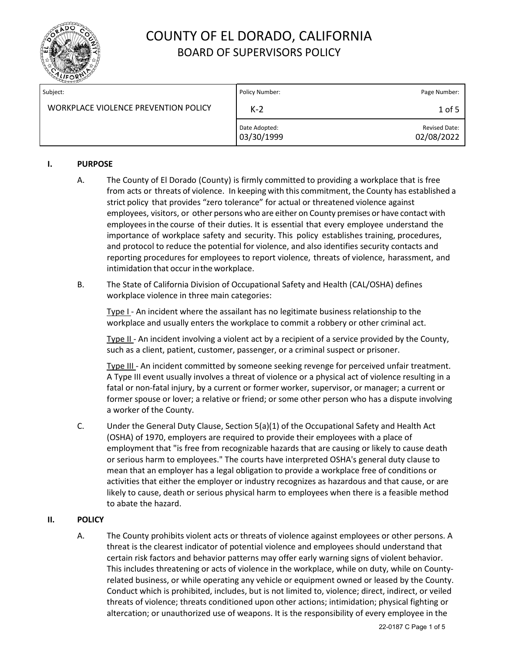

| Subject:                             | Policy Number:              | Page Number:                       |
|--------------------------------------|-----------------------------|------------------------------------|
| WORKPLACE VIOLENCE PREVENTION POLICY | $K-2$                       | 1 of 5                             |
|                                      | Date Adopted:<br>03/30/1999 | <b>Revised Date:</b><br>02/08/2022 |

### **I. PURPOSE**

- A. The County of El Dorado (County) is firmly committed to providing a workplace that is free from acts or threats of violence. In keeping with this commitment, the County has established a strict policy that provides "zero tolerance" for actual or threatened violence against employees, visitors, or other persons who are either on County premises or have contact with employeesin the course of their duties. It is essential that every employee understand the importance of workplace safety and security. This policy establishes training, procedures, and protocol to reduce the potential for violence, and also identifies security contacts and reporting procedures for employees to report violence, threats of violence, harassment, and intimidation that occur inthe workplace.
- B. The State of California Division of Occupational Safety and Health (CAL/OSHA) defines workplace violence in three main categories:

Type I - An incident where the assailant has no legitimate business relationship to the workplace and usually enters the workplace to commit a robbery or other criminal act.

Type II - An incident involving a violent act by a recipient of a service provided by the County, such as a client, patient, customer, passenger, or a criminal suspect or prisoner.

Type III - An incident committed by someone seeking revenge for perceived unfair treatment. A Type III event usually involves a threat of violence or a physical act of violence resulting in a fatal or non-fatal injury, by a current or former worker, supervisor, or manager; a current or former spouse or lover; a relative or friend; or some other person who has a dispute involving a worker of the County.

C. Under the [General Duty Clause,](https://www.osha.gov/pls/oshaweb/owadisp.show_document?p_id=3359&p_table=OSHACT) Section 5(a)(1) of the Occupational Safety and Health Act (OSHA) of 1970, employers are required to provide their employees with a place of employment that "is free from recognizable hazards that are causing or likely to cause death or serious harm to employees." The courts have interpreted OSHA's general duty clause to mean that an employer has a legal obligation to provide a workplace free of conditions or activities that either the employer or industry recognizes as hazardous and that cause, or are likely to cause, death or serious physical harm to employees when there is a feasible method to abate the hazard.

### **II. POLICY**

A. The County prohibits violent acts or threats of violence against employees or other persons. A threat is the clearest indicator of potential violence and employees should understand that certain risk factors and behavior patterns may offer early warning signs of violent behavior. This includes threatening or acts of violence in the workplace, while on duty, while on Countyrelated business, or while operating any vehicle or equipment owned or leased by the County. Conduct which is prohibited, includes, but is not limited to, violence; direct, indirect, or veiled threats of violence; threats conditioned upon other actions; intimidation; physical fighting or altercation; or unauthorized use of weapons. It is the responsibility of every employee in the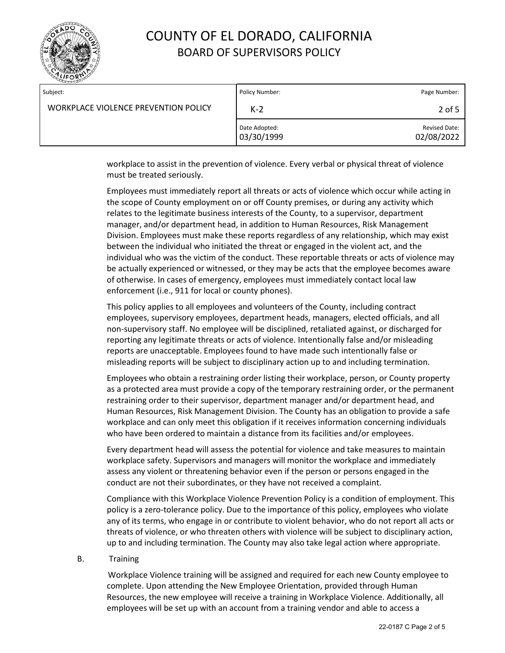

| Subject:                             | Policy Number:              | Page Number:                       |
|--------------------------------------|-----------------------------|------------------------------------|
| WORKPLACE VIOLENCE PREVENTION POLICY | $K-2$                       | 2 of 5                             |
|                                      | Date Adopted:<br>03/30/1999 | <b>Revised Date:</b><br>02/08/2022 |

workplace to assist in the prevention of violence. Every verbal or physical threat of violence must be treated seriously.

Employees must immediately report all threats or acts of violence which occur while acting in the scope of County employment on or off County premises, or during any activity which relates to the legitimate business interests of the County, to a supervisor, department manager, and/or department head, in addition to Human Resources, Risk Management Division. Employees must make these reports regardless of any relationship, which may exist between the individual who initiated the threat or engaged in the violent act, and the individual who was the victim of the conduct. These reportable threats or acts of violence may be actually experienced or witnessed, or they may be acts that the employee becomes aware of otherwise. In cases of emergency, employees must immediately contact local law enforcement (i.e., 911 for local or county phones).

This policy applies to all employees and volunteers of the County, including contract employees, supervisory employees, department heads, managers, elected officials, and all non-supervisory staff. No employee will be disciplined, retaliated against, or discharged for reporting any legitimate threats or acts of violence. Intentionally false and/or misleading reports are unacceptable. Employees found to have made such intentionally false or misleading reports will be subject to disciplinary action up to and including termination.

Employees who obtain a restraining order listing their workplace, person, or County property as a protected area must provide a copy of the temporary restraining order, or the permanent restraining order to their supervisor, department manager and/or department head, and Human Resources, Risk Management Division. The County has an obligation to provide a safe workplace and can only meet this obligation if it receives information concerning individuals who have been ordered to maintain a distance from its facilities and/or employees.

Every department head will assess the potential for violence and take measures to maintain workplace safety. Supervisors and managers will monitor the workplace and immediately assess any violent or threatening behavior even if the person or persons engaged in the conduct are not their subordinates, or they have not received a complaint.

Compliance with this Workplace Violence Prevention Policy is a condition of employment. This policy is a zero-tolerance policy. Due to the importance of this policy, employees who violate any of its terms, who engage in or contribute to violent behavior, who do not report all acts or threats of violence, or who threaten others with violence will be subject to disciplinary action, up to and including termination. The County may also take legal action where appropriate.

#### B. Training

 Workplace Violence training will be assigned and required for each new County employee to complete. Upon attending the New Employee Orientation, provided through Human Resources, the new employee will receive a training in Workplace Violence. Additionally, all employees will be set up with an account from a training vendor and able to access a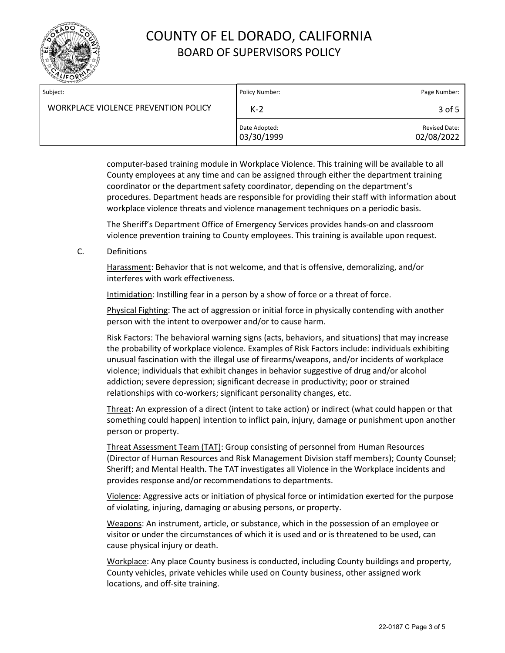

| Subject:                             | Policy Number:              | Page Number:                       |
|--------------------------------------|-----------------------------|------------------------------------|
| WORKPLACE VIOLENCE PREVENTION POLICY | $K-2$                       | 3 of 5                             |
|                                      | Date Adopted:<br>03/30/1999 | <b>Revised Date:</b><br>02/08/2022 |

computer-based training module in Workplace Violence. This training will be available to all County employees at any time and can be assigned through either the department training coordinator or the department safety coordinator, depending on the department's procedures. Department heads are responsible for providing their staff with information about workplace violence threats and violence management techniques on a periodic basis.

The Sheriff's Department Office of Emergency Services provides hands-on and classroom violence prevention training to County employees. This training is available upon request.

C. Definitions

Harassment: Behavior that is not welcome, and that is offensive, demoralizing, and/or interferes with work effectiveness.

Intimidation: Instilling fear in a person by a show of force or a threat of force.

Physical Fighting: The act of aggression or initial force in physically contending with another person with the intent to overpower and/or to cause harm.

Risk Factors: The behavioral warning signs (acts, behaviors, and situations) that may increase the probability of workplace violence. Examples of Risk Factors include: individuals exhibiting unusual fascination with the illegal use of firearms/weapons, and/or incidents of workplace violence; individuals that exhibit changes in behavior suggestive of drug and/or alcohol addiction; severe depression; significant decrease in productivity; poor or strained relationships with co-workers; significant personality changes, etc.

Threat: An expression of a direct (intent to take action) or indirect (what could happen or that something could happen) intention to inflict pain, injury, damage or punishment upon another person or property.

Threat Assessment Team (TAT): Group consisting of personnel from Human Resources (Director of Human Resources and Risk Management Division staff members); County Counsel; Sheriff; and Mental Health. The TAT investigates all Violence in the Workplace incidents and provides response and/or recommendations to departments.

Violence: Aggressive acts or initiation of physical force or intimidation exerted for the purpose of violating, injuring, damaging or abusing persons, or property.

Weapons: An instrument, article, or substance, which in the possession of an employee or visitor or under the circumstances of which it is used and or is threatened to be used, can cause physical injury or death.

Workplace: Any place County business is conducted, including County buildings and property, County vehicles, private vehicles while used on County business, other assigned work locations, and off-site training.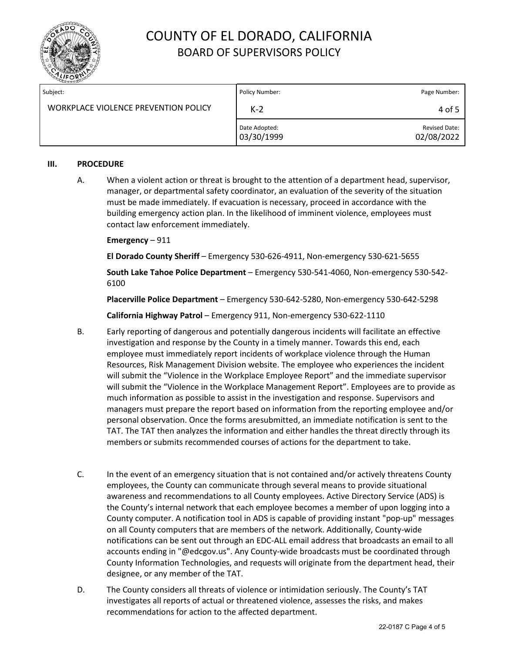

| Subject:                             | Policy Number:              | Page Number:                       |
|--------------------------------------|-----------------------------|------------------------------------|
| WORKPLACE VIOLENCE PREVENTION POLICY | $K-2$                       | 4 of 5                             |
|                                      | Date Adopted:<br>03/30/1999 | <b>Revised Date:</b><br>02/08/2022 |

### **III. PROCEDURE**

A. When a violent action or threat is brought to the attention of a department head, supervisor, manager, or departmental safety coordinator, an evaluation of the severity of the situation must be made immediately. If evacuation is necessary, proceed in accordance with the building emergency action plan. In the likelihood of imminent violence, employees must contact law enforcement immediately.

### **Emergency** – 911

**El Dorado County Sheriff** – Emergency 530-626-4911, Non-emergency 530-621-5655

**South Lake Tahoe Police Department** – Emergency 530-541-4060, Non-emergency 530-542- 6100

**Placerville Police Department** – Emergency 530-642-5280, Non-emergency 530-642-5298

**California Highway Patrol** – Emergency 911, Non-emergency 530-622-1110

- B. Early reporting of dangerous and potentially dangerous incidents will facilitate an effective investigation and response by the County in a timely manner. Towards this end, each employee must immediately report incidents of workplace violence through the Human Resources, Risk Management Division website. The employee who experiences the incident will submit the "Violence in the Workplace Employee Report" and the immediate supervisor will submit the "Violence in the Workplace Management Report". Employees are to provide as much information as possible to assist in the investigation and response. Supervisors and managers must prepare the report based on information from the reporting employee and/or personal observation. Once the forms aresubmitted, an immediate notification is sent to the TAT. The TAT then analyzes the information and either handles the threat directly through its members or submits recommended courses of actions for the department to take.
- C. In the event of an emergency situation that is not contained and/or actively threatens County employees, the County can communicate through several means to provide situational awareness and recommendations to all County employees. Active Directory Service (ADS) is the County's internal network that each employee becomes a member of upon logging into a County computer. A notification tool in ADS is capable of providing instant "pop-up" messages on all County computers that are members of the network. Additionally, County-wide notifications can be sent out through an EDC-ALL email address that broadcasts an email to all accounts ending in "@edcgov.us". Any County-wide broadcasts must be coordinated through County Information Technologies, and requests will originate from the department head, their designee, or any member of the TAT.
- D. The County considers all threats of violence or intimidation seriously. The County's TAT investigates all reports of actual or threatened violence, assesses the risks, and makes recommendations for action to the affected department.